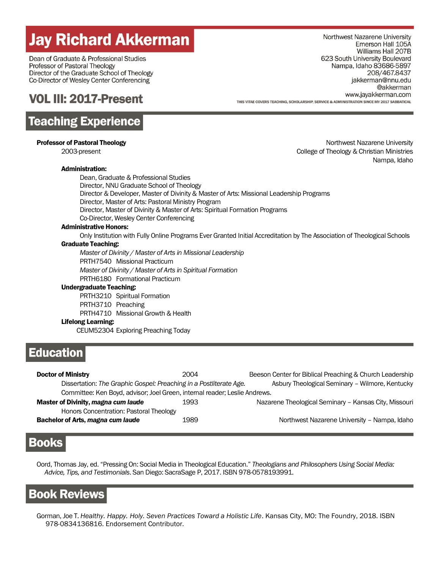# **Jay Richard Akkerman**

Dean of Graduate & Professional Studies Professor of Pastoral Theology Director of the Graduate School of Theology Co-Director of Wesley Center Conferencing

# **VOL III: 2017-Present**

# **Teaching Experience**

| <b>Professor of Pastoral Theology</b> |  |  |  |  |
|---------------------------------------|--|--|--|--|
|---------------------------------------|--|--|--|--|

## Administration:

Northwest Nazarene University Emerson Hall 105A Williams Hall 207B 623 South University Boulevard Nampa, Idaho 83686-5897 208/467.8437 jakkerman@nnu.edu @akkerman www.jayakkerman.com THIS VITAE COVERS TEACHING SCHOLARSHIP SERVICE & ADMINISTRATION SINCE MY 2017 SARRATICAL

Northwest Nazarene University 2003-present College of Theology & Christian Ministries Nampa, Idaho

Dean, Graduate & Professional Studies Director, NNU Graduate School of Theology Director & Developer, Master of Divinity & Master of Arts: Missional Leadership Programs Director, Master of Arts: Pastoral Ministry Program Director, Master of Divinity & Master of Arts: Spiritual Formation Programs Co-Director, Wesley Center Conferencing

## Administrative Honors:

Only Institution with Fully Online Programs Ever Granted Initial Accreditation by The Association of Theological Schools Graduate Teaching:

*Master of Divinity / Master of Arts in Missional Leadership*

PRTH7540 Missional Practicum

*Master of Divinity / Master of Arts in Spiritual Formation*

PRTH6180 Formational Practicum

## Undergraduate Teaching:

PRTH3210 Spiritual Formation

PRTH3710 Preaching

PRTH4710 Missional Growth & Health

## Lifelong Learning:

CEUM52304 Exploring Preaching Today

# **Education**

| <b>Doctor of Ministry</b>                                                  | 2004 | Beeson Center for Biblical Preaching & Church Leadership |
|----------------------------------------------------------------------------|------|----------------------------------------------------------|
| Dissertation: The Graphic Gospel: Preaching in a Postliterate Age.         |      | Asbury Theological Seminary - Wilmore, Kentucky          |
| Committee: Ken Boyd, advisor; Joel Green, internal reader; Leslie Andrews. |      |                                                          |
| Master of Divinity, magna cum laude                                        | 1993 | Nazarene Theological Seminary - Kansas City, Missouri    |
| Honors Concentration: Pastoral Theology                                    |      |                                                          |
| Bachelor of Arts, magna cum laude                                          | 1989 | Northwest Nazarene University - Nampa, Idaho             |

## **Books**

Oord, Thomas Jay, ed. "Pressing On: Social Media in Theological Education." *Theologians and Philosophers Using Social Media: Advice, Tips, and Testimonials*. San Diego: SacraSage P, 2017. ISBN 978-0578193991.

## **Book Reviews**

Gorman, Joe T. *Healthy. Happy. Holy. Seven Practices Toward a Holistic Life*. Kansas City, MO: The Foundry, 2018. ISBN 978-0834136816. Endorsement Contributor.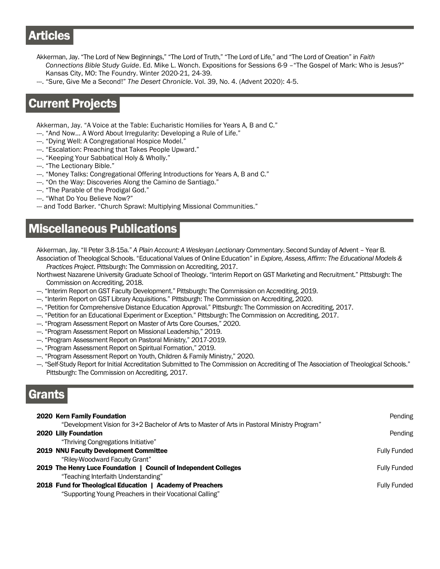# **Articles**

- Akkerman, Jay. "The Lord of New Beginnings," "The Lord of Truth," "The Lord of Life," and "The Lord of Creation" in *Faith Connections Bible Study Guide*. Ed. Mike L. Wonch. Expositions for Sessions 6-9 –"The Gospel of Mark: Who is Jesus?" Kansas City, MO: The Foundry. Winter 2020-21, 24-39.
- ---. "Sure, Give Me a Second!" *The Desert Chronicle*. Vol. 39, No. 4. (Advent 2020): 4-5.

# **Current Projects**

Akkerman, Jay. "A Voice at the Table: Eucharistic Homilies for Years A, B and C."

- ---. "And Now… A Word About Irregularity: Developing a Rule of Life."
- ---. "Dying Well: A Congregational Hospice Model."
- ---. "Escalation: Preaching that Takes People Upward."
- ---. "Keeping Your Sabbatical Holy & Wholly."
- ---. "The Lectionary Bible."
- ---. "Money Talks: Congregational Offering Introductions for Years A, B and C."
- ---. "On the Way: Discoveries Along the Camino de Santiago."
- ---. "The Parable of the Prodigal God."
- ---. "What Do You Believe Now?"
- --- and Todd Barker. "Church Sprawl: Multiplying Missional Communities."

## **Miscellaneous Publications**

Akkerman, Jay. "II Peter 3.8-15a." *A Plain Account: A Wesleyan Lectionary Commentary*. Second Sunday of Advent – Year B.

- Association of Theological Schools. "Educational Values of Online Education" in *Explore, Assess, Affirm: The Educational Models & Practices Project*. Pittsburgh: The Commission on Accrediting, 2017.
- Northwest Nazarene University Graduate School of Theology. "Interim Report on GST Marketing and Recruitment." Pittsburgh: The Commission on Accrediting, 2018.
- --. "Interim Report on GST Faculty Development." Pittsburgh: The Commission on Accrediting, 2019.
- ---. "Interim Report on GST Library Acquisitions." Pittsburgh: The Commission on Accrediting, 2020.
- --. "Petition for Comprehensive Distance Education Approval." Pittsburgh: The Commission on Accrediting, 2017.
- --. "Petition for an Educational Experiment or Exception." Pittsburgh: The Commission on Accrediting, 2017.
- ---. "Program Assessment Report on Master of Arts Core Courses," 2020.
- ---. "Program Assessment Report on Missional Leadership," 2019.
- ---. "Program Assessment Report on Pastoral Ministry," 2017-2019.
- ---. "Program Assessment Report on Spiritual Formation," 2019.
- --. "Program Assessment Report on Youth, Children & Family Ministry," 2020.
- ---. "Self-Study Report for Initial Accreditation Submitted to The Commission on Accrediting of The Association of Theological Schools." Pittsburgh: The Commission on Accrediting, 2017.

# Grants

| 2020 Kern Family Foundation                                                                  | Pending             |
|----------------------------------------------------------------------------------------------|---------------------|
| "Development Vision for 3+2 Bachelor of Arts to Master of Arts in Pastoral Ministry Program" |                     |
| 2020 Lilly Foundation                                                                        | Pending             |
| "Thriving Congregations Initiative"                                                          |                     |
| <b>2019 NNU Faculty Development Committee</b>                                                | <b>Fully Funded</b> |
| "Riley-Woodward Faculty Grant"                                                               |                     |
| 2019 The Henry Luce Foundation   Council of Independent Colleges                             | <b>Fully Funded</b> |
| "Teaching Interfaith Understanding"                                                          |                     |
| 2018 Fund for Theological Education   Academy of Preachers                                   | <b>Fully Funded</b> |
| "Supporting Young Preachers in their Vocational Calling"                                     |                     |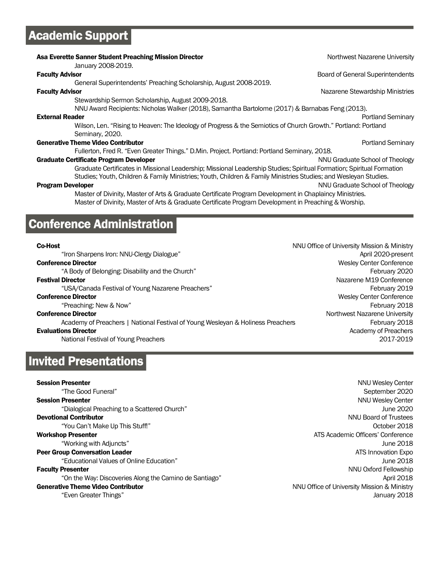# **Academic Support**

| Asa Everette Sanner Student Preaching Mission Director<br>January 2008-2019.                                          | Northwest Nazarene University           |  |  |
|-----------------------------------------------------------------------------------------------------------------------|-----------------------------------------|--|--|
| <b>Faculty Advisor</b>                                                                                                | <b>Board of General Superintendents</b> |  |  |
| General Superintendents' Preaching Scholarship, August 2008-2019.                                                     |                                         |  |  |
| <b>Faculty Advisor</b>                                                                                                | Nazarene Stewardship Ministries         |  |  |
| Stewardship Sermon Scholarship, August 2009-2018.                                                                     |                                         |  |  |
| NNU Award Recipients: Nicholas Walker (2018), Samantha Bartolome (2017) & Barnabas Feng (2013).                       |                                         |  |  |
| <b>External Reader</b>                                                                                                | Portland Seminary                       |  |  |
| Wilson, Len. "Rising to Heaven: The Ideology of Progress & the Semiotics of Church Growth." Portland: Portland        |                                         |  |  |
| Seminary, 2020.                                                                                                       |                                         |  |  |
| <b>Generative Theme Video Contributor</b>                                                                             | Portland Seminary                       |  |  |
| Fullerton, Fred R. "Even Greater Things." D.Min. Project. Portland: Portland Seminary, 2018.                          |                                         |  |  |
| <b>Graduate Certificate Program Developer</b>                                                                         | NNU Graduate School of Theology         |  |  |
| Graduate Certificates in Missional Leadership; Missional Leadership Studies; Spiritual Formation; Spiritual Formation |                                         |  |  |
| Studies; Youth, Children & Family Ministries; Youth, Children & Family Ministries Studies; and Wesleyan Studies.      |                                         |  |  |
| <b>Program Developer</b>                                                                                              | NNU Graduate School of Theology         |  |  |
| Master of Divinity, Master of Arts & Graduate Certificate Program Development in Chaplaincy Ministries.               |                                         |  |  |
| Master of Divinity, Master of Arts & Graduate Certificate Program Development in Preaching & Worship.                 |                                         |  |  |
|                                                                                                                       |                                         |  |  |

# **Conference Administration**

"Iron Sharpens Iron: NNU-Clergy Dialogue" April 2020-present **Conference Director Conference Director** Wesley Center Conference **Conference** Director "A Body of Belonging: Disability and the Church" February 2020 Festival Director Nazarene M19 Conference "USA/Canada Festival of Young Nazarene Preachers" February 2019 **Conference Director Conference Director** Wesley Center Conference **Conference** Director "Preaching: New & Now" February 2018 **Conference Director** Northwest Nazarene University Academy of Preachers | National Festival of Young Wesleyan & Holiness Preachers Freethers February 2018 **Evaluations Director** Academy of Preachers **Evaluations Director** Academy of Preachers National Festival of Young Preachers 2017-2019

# **Invited Presentations**

### **Session Presenter** NNU Wesley Center NNU Wesley Center NNU Wesley Center NNU Wesley Center

"Educational Values of Online Education" June 2018

"On the Way: Discoveries Along the Camino de Santiago" April 2018

**Co-Host** NNU Office of University Mission & Ministry

"The Good Funeral" September 2020 **Session Presenter** NNU Wesley Center NNU Wesley Center NNU Wesley Center NNU Wesley Center "Dialogical Preaching to a Scattered Church" June 2020 **Devotional Contributor** Network and Contribution Contribution Contribution Contribution Contribution Contribution Contribution Contribution Contribution Contribution Contribution Contribution Contribution Contribution Con "You Can't Make Up This Stuff!" October 2018 **Workshop Presenter ATS** Academic Officers' Conference "Working with Adjuncts" June 2018 **Peer Group Conversation Leader** ATS Innovation Expo **Faculty Presenter** NNU Oxford Fellowship Generative Theme Video Contributor National According to Ministry NNU Office of University Mission & Ministry "Even Greater Things" January 2018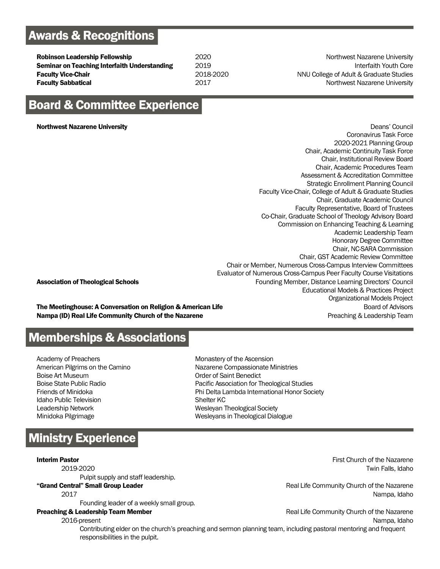# **Awards & Recognitions**

**Robinson Leadership Fellowship 2020** Northwest Nazarene University **Seminar on Teaching Interfaith Understanding**  $2019$  **Seminary Communisty Communisty Core Faculty Vice-Chair College of Adult & Graduate Studies** 2018-2020 **NNU College of Adult & Graduate Studies Faculty Sabbatical Example 2017** 2017 **Construction Construction Construction Construction Construction Construction Construction Construction Construction Construction Construction Construction Construction Constructio** 

# **Board & Committee Experience**

Northwest Nazarene University Deans' Council Coronavirus Task Force 2020-2021 Planning Group Chair, Academic Continuity Task Force Chair, Institutional Review Board Chair, Academic Procedures Team Assessment & Accreditation Committee Strategic Enrollment Planning Council Faculty Vice-Chair, College of Adult & Graduate Studies Chair, Graduate Academic Council Faculty Representative, Board of Trustees Co-Chair, Graduate School of Theology Advisory Board Commission on Enhancing Teaching & Learning Academic Leadership Team Honorary Degree Committee Chair, NC-SARA Commission Chair, GST Academic Review Committee Chair or Member, Numerous Cross-Campus Interview Committees Evaluator of Numerous Cross-Campus Peer Faculty Course Visitations Association of Theological Schools **Founding Member, Distance Learning Directors' Council** Founding Member, Distance Learning Directors' Council Educational Models & Practices Project Organizational Models Project The Meetinghouse: A Conversation on Religion & American Life **Board of Advisors** Board of Advisors

Nampa (ID) Real Life Community Church of the Nazarene **Property Account 2018** Preaching & Leadership Team

## **Memberships & Associations**

Academy of Preachers American Pilgrims on the Camino Boise Art Museum Boise State Public Radio Friends of Minidoka Idaho Public Television Leadership Network Minidoka Pilgrimage

Monastery of the Ascension Nazarene Compassionate Ministries Order of Saint Benedict Pacific Association for Theological Studies Phi Delta Lambda International Honor Society Shelter KC Wesleyan Theological Society Wesleyans in Theological Dialogue

# **Ministry Experience**

Pulpit supply and staff leadership.

Founding leader of a weekly small group.

**Interim Pastor** First Church of the Nazarene 2019-2020 Twin Falls, Idaho

"Grand Central" Small Group Leader **Community Church of the Nazarene** Real Life Community Church of the Nazarene 2017 Nampa, Idaho

**Preaching & Leadership Team Member Real Life Community Church of the Nazarene** 2016-present Nampa, Idaho

Contributing elder on the church's preaching and sermon planning team, including pastoral mentoring and frequent responsibilities in the pulpit.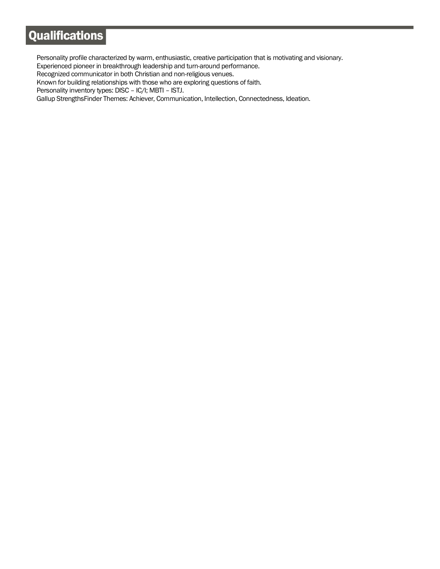# Qualifications

Personality profile characterized by warm, enthusiastic, creative participation that is motivating and visionary.

Experienced pioneer in breakthrough leadership and turn-around performance.

Recognized communicator in both Christian and non-religious venues.

Known for building relationships with those who are exploring questions of faith.

Personality inventory types: DISC – IC/I; MBTI – ISTJ.

Gallup StrengthsFinder Themes: Achiever, Communication, Intellection, Connectedness, Ideation.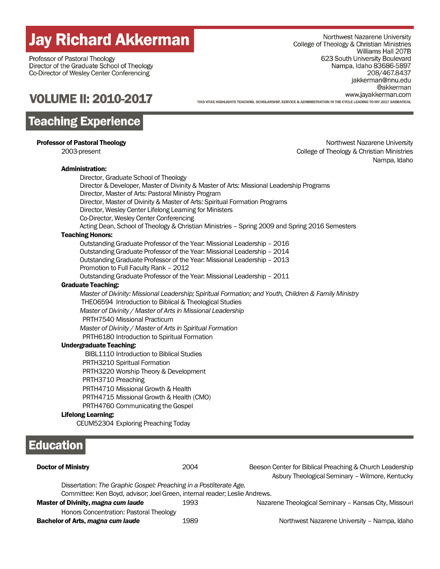# **Jay Richard Akkerman**

Professor of Pastoral Theology Director of the Graduate School of Theology Co-Director of Wesley Center Conferencing

Northwest Nazarene University College of Theology & Christian Ministries Williams Hall 207B 623 South University Boulevard Nampa, Idaho 83686-5897 208/467.8437 jakkerman@nnu.edu @akkerman www.jayakkerman.com THIS VITAE HIGHLIGHTS TEACHING, SCHOLARSHIP, SERVICE & ADMINISTRATION IN THE CYCLE LEADING TO MY 2017 SABBATICAL

# **VOLUME II: 2010-2017**

# **Teaching Experience**

## Administration:

Educa

**Professor of Pastoral Theology Northwest Nazarene University Northwest Nazarene University**  2003-present College of Theology & Christian Ministries Nampa, Idaho

|                                | Director, Graduate School of Theology                                       | Director & Developer, Master of Divinity & Master of Arts: Missional Leadership Programs             |
|--------------------------------|-----------------------------------------------------------------------------|------------------------------------------------------------------------------------------------------|
|                                | Director, Master of Arts: Pastoral Ministry Program                         |                                                                                                      |
|                                | Director, Master of Divinity & Master of Arts: Spiritual Formation Programs |                                                                                                      |
|                                | Director, Wesley Center Lifelong Learning for Ministers                     |                                                                                                      |
|                                | Co-Director, Wesley Center Conferencing                                     |                                                                                                      |
|                                |                                                                             | Acting Dean, School of Theology & Christian Ministries - Spring 2009 and Spring 2016 Semesters       |
| <b>Teaching Honors:</b>        |                                                                             |                                                                                                      |
|                                | Outstanding Graduate Professor of the Year: Missional Leadership - 2016     |                                                                                                      |
|                                | Outstanding Graduate Professor of the Year: Missional Leadership - 2014     |                                                                                                      |
|                                | Outstanding Graduate Professor of the Year: Missional Leadership - 2013     |                                                                                                      |
|                                | Promotion to Full Faculty Rank - 2012                                       |                                                                                                      |
|                                | Outstanding Graduate Professor of the Year: Missional Leadership - 2011     |                                                                                                      |
| <b>Graduate Teaching:</b>      |                                                                             |                                                                                                      |
|                                |                                                                             | Master of Divinity: Missional Leadership; Spiritual Formation; and Youth, Children & Family Ministry |
|                                | THEO6594 Introduction to Biblical & Theological Studies                     |                                                                                                      |
|                                | Master of Divinity / Master of Arts in Missional Leadership                 |                                                                                                      |
| PRTH7540 Missional Practicum   |                                                                             |                                                                                                      |
|                                | Master of Divinity / Master of Arts in Spiritual Formation                  |                                                                                                      |
|                                | PRTH6180 Introduction to Spiritual Formation                                |                                                                                                      |
| <b>Undergraduate Teaching:</b> |                                                                             |                                                                                                      |
|                                | <b>BIBL1110 Introduction to Biblical Studies</b>                            |                                                                                                      |
| PRTH3210 Spiritual Formation   |                                                                             |                                                                                                      |
|                                | PRTH3220 Worship Theory & Development                                       |                                                                                                      |
| PRTH3710 Preaching             |                                                                             |                                                                                                      |
|                                | PRTH4710 Missional Growth & Health                                          |                                                                                                      |
|                                | PRTH4715 Missional Growth & Health (CMO)                                    |                                                                                                      |
|                                | PRTH4760 Communicating the Gospel                                           |                                                                                                      |
| <b>Lifelong Learning:</b>      |                                                                             |                                                                                                      |
|                                | CEUM52304 Exploring Preaching Today                                         |                                                                                                      |
|                                |                                                                             |                                                                                                      |
| ducation                       |                                                                             |                                                                                                      |
|                                |                                                                             |                                                                                                      |
| <b>Doctor of Ministry</b>      | 2004                                                                        | Beeson Center for Biblical Preaching & Church Leadership                                             |

Asbury Theological Seminary – Wilmore, Kentucky

| Dissertation: The Graphic Gospel: Preaching in a Postliterate Age.<br>Committee: Ken Boyd, advisor; Joel Green, internal reader; Leslie Andrews. |      |                                                       |
|--------------------------------------------------------------------------------------------------------------------------------------------------|------|-------------------------------------------------------|
| Master of Divinity, magna cum laude                                                                                                              | 1993 | Nazarene Theological Seminary - Kansas City, Missouri |
| Honors Concentration: Pastoral Theology                                                                                                          |      |                                                       |
| Bachelor of Arts, magna cum laude                                                                                                                | 1989 | Northwest Nazarene University - Nampa, Idaho          |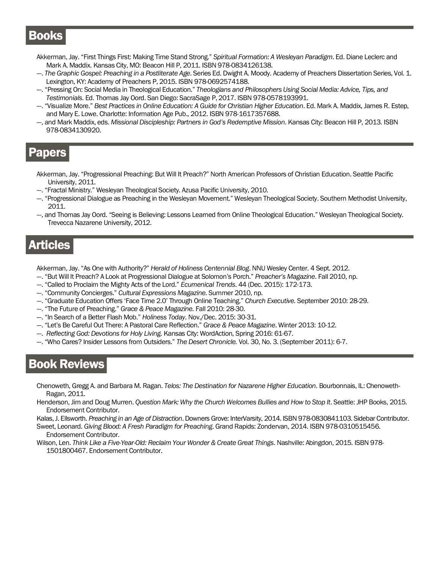# **Books**

- Akkerman, Jay. "First Things First: Making Time Stand Strong." *Spiritual Formation: A Wesleyan Paradigm*. Ed. Diane Leclerc and Mark A. Maddix. Kansas City, MO: Beacon Hill P, 2011. ISBN 978-0834126138.
- ---. *The Graphic Gospel: Preaching in a Postliterate Age*. Series Ed. Dwight A. Moody. Academy of Preachers Dissertation Series, Vol. 1. Lexington, KY: Academy of Preachers P, 2015. ISBN 978-0692574188.
- ---. "Pressing On: Social Media in Theological Education." *Theologians and Philosophers Using Social Media: Advice, Tips, and Testimonials*. Ed. Thomas Jay Oord. San Diego: SacraSage P, 2017. ISBN 978-0578193991.
- ---. "Visualize More." *Best Practices in Online Education: A Guide for Christian Higher Education*. Ed. Mark A. Maddix, James R. Estep, and Mary E. Lowe. Charlotte: Information Age Pub., 2012. ISBN 978-1617357688.
- ---, and Mark Maddix, eds. *Missional Discipleship: Partners in God's Redemptive Mission*. Kansas City: Beacon Hill P, 2013. ISBN 978-0834130920.

# Papers

- Akkerman, Jay. "Progressional Preaching: But Will It Preach?" North American Professors of Christian Education. Seattle Pacific University, 2011.
- --. "Fractal Ministry." Wesleyan Theological Society. Azusa Pacific University, 2010.
- ---. "Progressional Dialogue as Preaching in the Wesleyan Movement." Wesleyan Theological Society. Southern Methodist University, 2011.
- ---, and Thomas Jay Oord. "Seeing is Believing: Lessons Learned from Online Theological Education." Wesleyan Theological Society. Trevecca Nazarene University, 2012.

# **Articles**

Akkerman, Jay. "As One with Authority?" *Herald of Holiness Centennial Blog*. NNU Wesley Center. 4 Sept. 2012.

- ---. "But Will It Preach? A Look at Progressional Dialogue at Solomon's Porch." *Preacher's Magazine*. Fall 2010, np.
- ---. "Called to Proclaim the Mighty Acts of the Lord." *Ecumenical Trends*. 44 (Dec. 2015): 172-173.
- ---. "Community Concierges." *Cultural Expressions Magazine*. Summer 2010, np.
- ---. "Graduate Education Offers 'Face Time 2.0' Through Online Teaching." *Church Executive.* September 2010: 28-29.
- ---. "The Future of Preaching." *Grace & Peace Magazine.* Fall 2010: 28-30.
- ---. "In Search of a Better Flash Mob." *Holiness Today*. Nov./Dec. 2015: 30-31.
- ---. "Let's Be Careful Out There: A Pastoral Care Reflection." *Grace & Peace Magazine*. Winter 2013: 10-12.
- ---. *Reflecting God: Devotions for Holy Living*. Kansas City: WordAction, Spring 2016: 61-67.
- ---. "Who Cares? Insider Lessons from Outsiders." *The Desert Chronicle.* Vol. 30, No. 3. (September 2011): 6-7.

# **Book Reviews**

- Chenoweth, Gregg A. and Barbara M. Ragan. *Telos: The Destination for Nazarene Higher Education*. Bourbonnais, IL: Chenoweth- Ragan, 2011.
- Henderson, Jim and Doug Murren. *Question Mark: Why the Church Welcomes Bullies and How to Stop It*. Seattle: JHP Books, 2015. Endorsement Contributor.

Kalas, J. Ellsworth. *Preaching in an Age of Distraction*. Downers Grove: InterVarsity, 2014. ISBN 978-0830841103. Sidebar Contributor.

- Sweet, Leonard. *Giving Blood: A Fresh Paradigm for Preaching*. Grand Rapids: Zondervan, 2014. ISBN 978-0310515456. Endorsement Contributor.
- Wilson, Len. *Think Like a Five-Year-Old: Reclaim Your Wonder & Create Great Things*. Nashville: Abingdon, 2015. ISBN 978- 1501800467. Endorsement Contributor.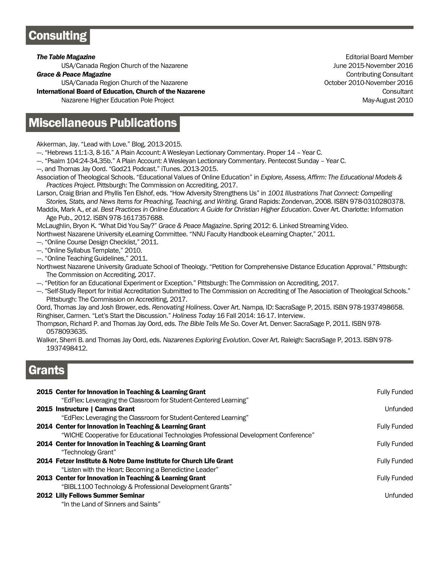# **Consulting**

USA/Canada Region Church of the Nazarene June 2015-November 2016

USA/Canada Region Church of the Nazarene **Canada Region Church of the Nazarene** Canada Canada Canada Canada Canada Canada Canada Canada Canada Canada Canada Canada Canada Canada Canada Canada Canada Canada Canada Canada Ca

**International Board of Education, Church of the Nazarene** Consultant Consultant Consultant

Nazarene Higher Education Pole Project May-August 2010

# **Miscellaneous Publications**

Akkerman, Jay. "Lead with Love." Blog, 2013-2015.

- --. "Hebrews 11:1-3, 8-16." A Plain Account: A Wesleyan Lectionary Commentary. Proper 14 Year C.
- ---. "Psalm 104:24-34,35b." A Plain Account: A Wesleyan Lectionary Commentary. Pentecost Sunday Year C.
- ---, and Thomas Jay Oord. "God21 Podcast." iTunes. 2013-2015.
- Association of Theological Schools. "Educational Values of Online Education" in *Explore, Assess, Affirm: The Educational Models & Practices Project*. Pittsburgh: The Commission on Accrediting, 2017.
- Larson, Craig Brian and Phyllis Ten Elshof, eds. "How Adversity Strengthens Us" in *1001 Illustrations That Connect: Compelling Stories, Stats, and News Items for Preaching, Teaching, and Writing.* Grand Rapids: Zondervan, 2008. ISBN 978-0310280378.

Maddix, Mark A., *et al*. *Best Practices in Online Education: A Guide for Christian Higher Education*. Cover Art. Charlotte: Information Age Pub., 2012. ISBN 978-1617357688.

McLaughlin, Bryon K. "What Did You Say?" *Grace & Peace Magazine*. Spring 2012: 6. Linked Streaming Video.

- Northwest Nazarene University eLearning Committee. "NNU Faculty Handbook eLearning Chapter," 2011.
- ---. "Online Course Design Checklist," 2011.
- --. "Online Syllabus Template," 2010.

--. "Online Teaching Guidelines," 2011.

Northwest Nazarene University Graduate School of Theology. "Petition for Comprehensive Distance Education Approval." Pittsburgh: The Commission on Accrediting, 2017.

- ---. "Petition for an Educational Experiment or Exception." Pittsburgh: The Commission on Accrediting, 2017.
- --. "Self-Study Report for Initial Accreditation Submitted to The Commission on Accrediting of The Association of Theological Schools." Pittsburgh: The Commission on Accrediting, 2017.

Oord, Thomas Jay and Josh Brower, eds. *Renovating Holiness*. Cover Art. Nampa, ID: SacraSage P, 2015. ISBN 978-1937498658. Ringhiser, Carmen. "Let's Start the Discussion." *Holiness Today* 16 Fall 2014: 16-17. Interview.

Thompson, Richard P. and Thomas Jay Oord, eds. *The Bible Tells Me So*. Cover Art. Denver: SacraSage P, 2011. ISBN 978- 0578093635.

Walker, Sherri B. and Thomas Jay Oord, eds. *Nazarenes Exploring Evolution*. Cover Art. Raleigh: SacraSage P, 2013. ISBN 978- 1937498412.

## Grants

| 2015 Center for Innovation in Teaching & Learning Grant<br>"EdFlex: Leveraging the Classroom for Student-Centered Learning"                     | <b>Fully Funded</b> |
|-------------------------------------------------------------------------------------------------------------------------------------------------|---------------------|
| 2015 Instructure   Canvas Grant<br>"EdFlex: Leveraging the Classroom for Student-Centered Learning"                                             | Unfunded            |
| 2014 Center for Innovation in Teaching & Learning Grant                                                                                         | <b>Fully Funded</b> |
| "WICHE Cooperative for Educational Technologies Professional Development Conference"<br>2014 Center for Innovation in Teaching & Learning Grant | <b>Fully Funded</b> |
| "Technology Grant"<br>2014 Fetzer Institute & Notre Dame Institute for Church Life Grant                                                        | <b>Fully Funded</b> |
| "Listen with the Heart: Becoming a Benedictine Leader"<br>2013 Center for Innovation in Teaching & Learning Grant                               | <b>Fully Funded</b> |
| "BIBL1100 Technology & Professional Development Grants"<br>2012 Lilly Fellows Summer Seminar                                                    | Unfunded            |
| "In the Land of Sinners and Saints"                                                                                                             |                     |

**The Table Magazine Editorial Board Members (2008) The Table Magazine Science of Table Magazine Editorial Board Member Grace & Peace Magazine** Consultant Consultant Consultant Consultant Consultant Consultant Consultant Consultant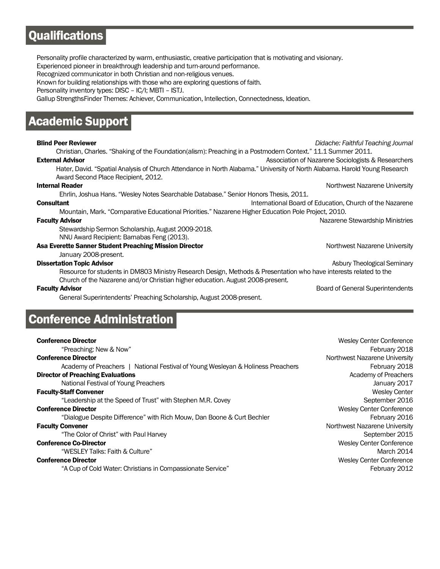# **Qualifications**

Personality profile characterized by warm, enthusiastic, creative participation that is motivating and visionary. Experienced pioneer in breakthrough leadership and turn-around performance.

Recognized communicator in both Christian and non-religious venues.

Known for building relationships with those who are exploring questions of faith.

Personality inventory types: DISC – IC/I; MBTI – ISTJ.

Gallup StrengthsFinder Themes: Achiever, Communication, Intellection, Connectedness, Ideation.

# **Academic Support**

## Blind Peer Reviewer *Didache: Faithful Teaching Journal*

 Christian, Charles. "Shaking of the Foundation(alism): Preaching in a Postmodern Context." 11.1 Summer 2011. **External Advisor External Advisor** Association of Nazarene Sociologists & Researchers

 Hater, David. "Spatial Analysis of Church Attendance in North Alabama." University of North Alabama. Harold Young Research Award Second Place Recipient, 2012.

## **Internal Reader** Northwest Nazarene University

Ehrlin, Joshua Hans. "Wesley Notes Searchable Database." Senior Honors Thesis, 2011.

**Consultant Consultant** International Board of Education, Church of the Nazarene

 Mountain, Mark. "Comparative Educational Priorities." Nazarene Higher Education Pole Project, 2010. **Faculty Advisor** Nazarene Stewardship Ministries

 Stewardship Sermon Scholarship, August 2009-2018. NNU Award Recipient: Barnabas Feng (2013).

## Asa Everette Sanner Student Preaching Mission Director New Metal Controllery Northwest Nazarene University

January 2008-present.

## **Dissertation Topic Advisor** Asbury Theological Seminary Asbury Theological Seminary

 Resource for students in DM803 Ministry Research Design, Methods & Presentation who have interests related to the Church of the Nazarene and/or Christian higher education. August 2008-present.

General Superintendents' Preaching Scholarship, August 2008-present.

## **Conference Administration**

### **Conference Director** Number of Testing Center Conference Director Number of Testing Center Conference Director

"Preaching: New & Now" February 2018 **Conference Director** Northwest Nazarene University Academy of Preachers | National Festival of Young Wesleyan & Holiness Preachers February 2018 **Director of Preaching Evaluations Contract Contract Contract Contract Contract Contract Contract Contract Contract Contract Contract Contract Contract Contract Contract Contract Contract Contract Contract Contract Contr** National Festival of Young Preachers January 2017 **Faculty-Staff Convener** Wesley Center Wesley Center Wesley Center Wesley Center Wesley Center "Leadership at the Speed of Trust" with Stephen M.R. Covey September 2016 **Conference Director** Wesley Center Conference **Director** Wesley Center Conference **Conference Wesley Center Conference** "Dialogue Despite Difference" with Rich Mouw, Dan Boone & Curt Bechler February 2016 **Faculty Convener** Northwest Nazarene University "The Color of Christ" with Paul Harvey September 2015 **Conference Co-Director** Wesley Center Conference Conference **Conference** Conference **Conference** Conference **Conference** Conference **Conference** Conference **Conference** Conference **Conference** Conference **Conference** Conf "WESLEY Talks: Faith & Culture" March 2014 **Conference Director** Wesley Center Conference **Director** Wesley Center Conference "A Cup of Cold Water: Christians in Compassionate Service" February 2012

**Faculty Advisor** Board of General Superintendents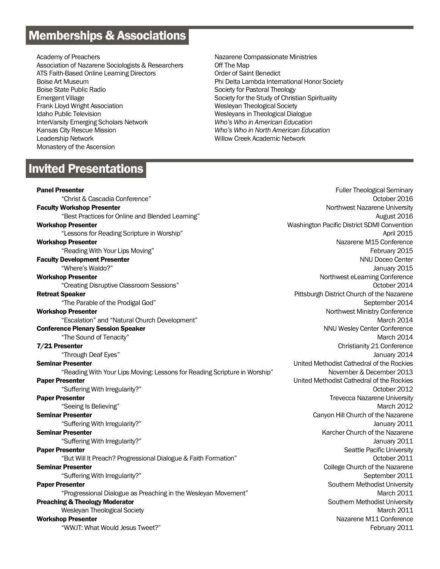# **Memberships & Associations**

Academy of Preachers Association of Nazarene Sociologists & Researchers ATS Faith-Based Online Learning Directors Boise Art Museum Boise State Public Radio Emergent Village Frank Lloyd Wright Association Idaho Public Television InterVarsity Emerging Scholars Network Kansas City Rescue Mission Leadership Network Monastery of the Ascension

# **Invited Presentations**

Nazarene Compassionate Ministries Off The Map Order of Saint Benedict Phi Delta Lambda International Honor Society Society for Pastoral Theology Society for the Study of Christian Spirituality Wesleyan Theological Society Wesleyans in Theological Dialogue *Who's Who in American Education Who's Who in North American Education* Willow Creek Academic Network

**Panel Presenter** Fuller Theological Seminary **Fuller Theological Seminary Fuller Theological Seminary** "Christ & Cascadia Conference" October 2016 **Faculty Workshop Presenter** Northwest Nazarene University "Best Practices for Online and Blended Learning" August 2016 Workshop Presenter Washington Presenter Washington Pacific District SDMI Convention "Lessons for Reading Scripture in Worship" and the state of the state of the state of the state of the state of the state of the state of the state of the state of the state of the state of the state of the state of the st **Workshop Presenter** Nazarene M15 Conference "Reading With Your Lips Moving" February 2015 **Faculty Development Presenter NNU Doceo Center NNU Doceo Center NNU Doceo Center** "Where's Waldo?" January 2015 **Workshop Presenter** Northwest eLearning Conference "Creating Disruptive Classroom Sessions" October 2014 **Retreat Speaker** Pittsburgh District Church of the Nazarene "The Parable of the Prodigal God" September 2014 **Workshop Presenter** Northwest Ministry Conference "Escalation" and "Natural Church Development" March 2014 **Conference Plenary Session Speaker NNU Wesley Center Conference** NNU Wesley Center Conference "The Sound of Tenacity" March 2014 **7/21 Presenter** Christianity 21 Conference "Through Deaf Eyes" January 2014 **Seminar Presenter Exercise Seminar Presenter Act in the Rockies** Cathedral of the Rockies "Reading With Your Lips Moving: Lessons for Reading Scripture in Worship" November & December 2013 **Paper Presenter Presenter Exercise 2 and 2 and 2 and 2 and 2 and 2 and 2 and 2 and 2 and 2 and 2 and 2 and 2 and 2 and 2 and 2 and 2 and 2 and 2 and 2 and 2 and 2 and 2 and 2 and 2 and 2 and 2 and 2 and 2 and 2 and 2** "Suffering With Irregularity?" October 2012 **Paper Presenter** University **Trevecca Nazarene University Trevecca Nazarene University** "Seeing Is Believing" March 2012 **Seminar Presenter** Canyon Hill Church of the Nazarene "Suffering With Irregularity?" January 2011 Seminar Presenter **Karcher Church of the Nazarene** Karcher Church of the Nazarene "Suffering With Irregularity?" January 2011 **Paper Presenter** Seattle Pacific University "But Will It Preach? Progressional Dialogue & Faith Formation" October 2011 **Seminar Presenter** College Church of the Nazarene College Church of the Nazarene "Suffering With Irregularity?" September 2011 **Paper Presenter** Southern Methodist University "Progressional Dialogue as Preaching in the Wesleyan Movement" March 2011 **Preaching & Theology Moderator Southern Methodist University Preaching & Theology Moderator** Southern Methodist University Wesleyan Theological Society **March 2011** New York 2012 **March 2011** Workshop Presenter Nazarene Managementer Nazarene Managemente Managemente Managemente Managemente Managemente Managemente Managemente Managemente Managemente Managemente Managemente Managemente Managemente Managemente Mana "WWJT: What Would Jesus Tweet?" February 2011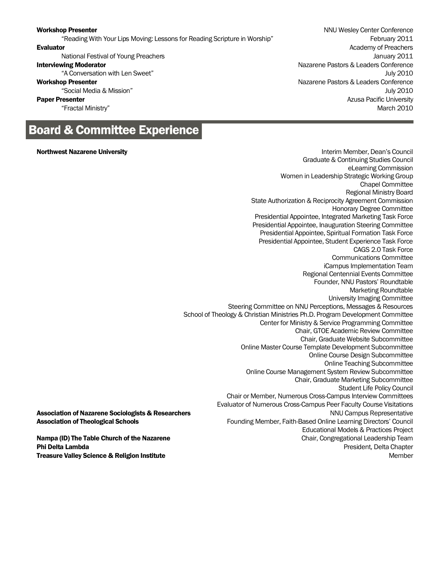"Reading With Your Lips Moving: Lessons for Reading Scripture in Worship" February 2011

# **Board & Committee Experience**

### **Northwest Nazarene University Interim Member, Dean's Council** New York 1, 1999, 1999, 1999, 1999, 1999, 1999, 199

**Workshop Presenter** NNU Wesley Center Conference **Evaluator** Academy of Preachers **Evaluator** Academy of Preachers National Festival of Young Preachers January 2011 Interviewing Moderator **Nazarene Pastors & Leaders Conference** Nazarene Pastors & Leaders Conference "A Conversation with Len Sweet" July 2010 Workshop Presenter Nazarene Pastors & Leaders Conference "Social Media & Mission" July 2010 **Paper Presenter Contract Presenter Azusa Pacific University Paper Presenter Azusa Pacific University** "Fractal Ministry" March 2010

Graduate & Continuing Studies Council eLearning Commission Women in Leadership Strategic Working Group Chapel Committee Regional Ministry Board State Authorization & Reciprocity Agreement Commission Honorary Degree Committee Presidential Appointee, Integrated Marketing Task Force Presidential Appointee, Inauguration Steering Committee Presidential Appointee, Spiritual Formation Task Force Presidential Appointee, Student Experience Task Force CAGS 2.0 Task Force Communications Committee iCampus Implementation Team Regional Centennial Events Committee Founder, NNU Pastors' Roundtable Marketing Roundtable University Imaging Committee Steering Committee on NNU Perceptions, Messages & Resources School of Theology & Christian Ministries Ph.D. Program Development Committee Center for Ministry & Service Programming Committee Chair, GTOE Academic Review Committee Chair, Graduate Website Subcommittee Online Master Course Template Development Subcommittee Online Course Design Subcommittee Online Teaching Subcommittee Online Course Management System Review Subcommittee Chair, Graduate Marketing Subcommittee Student Life Policy Council Chair or Member, Numerous Cross-Campus Interview Committees Evaluator of Numerous Cross-Campus Peer Faculty Course Visitations **Association of Nazarene Sociologists & Researchers** NNU Campus Representative NNU Campus Representative Association of Theological Schools Founding Member, Faith-Based Online Learning Directors' Council Educational Models & Practices Project Nampa (ID) The Table Church of the Nazarene Chair, Congregational Leadership Team **Phi Delta Lambda** President, Delta Chapter President, Delta Chapter President, Delta Chapter President, Delta Chapter **Treasure Valley Science & Religion Institute Member 2008 Control of Control Control of Control Control Control Control Control Control Control Control Control Control Control Control Control Control Control Control Contro**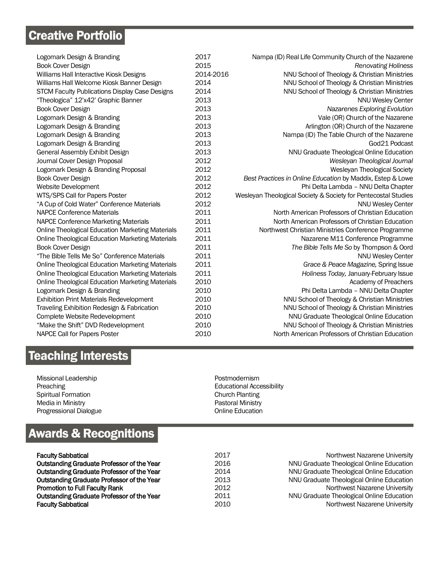# **Creative Portfolio**

| Logomark Design & Branding                              | 2017      | Nampa (ID) Real Life Community Church of the Nazarene          |
|---------------------------------------------------------|-----------|----------------------------------------------------------------|
| Book Cover Design                                       | 2015      | <b>Renovating Holiness</b>                                     |
| Williams Hall Interactive Kiosk Designs                 | 2014-2016 | NNU School of Theology & Christian Ministries                  |
| Williams Hall Welcome Kiosk Banner Design               | 2014      | NNU School of Theology & Christian Ministries                  |
| STCM Faculty Publications Display Case Designs          | 2014      | NNU School of Theology & Christian Ministries                  |
| "Theologica" 12'x42' Graphic Banner                     | 2013      | <b>NNU Wesley Center</b>                                       |
| Book Cover Design                                       | 2013      | Nazarenes Exploring Evolution                                  |
| Logomark Design & Branding                              | 2013      | Vale (OR) Church of the Nazarene                               |
| Logomark Design & Branding                              | 2013      | Arlington (OR) Church of the Nazarene                          |
| Logomark Design & Branding                              | 2013      | Nampa (ID) The Table Church of the Nazarene                    |
| Logomark Design & Branding                              | 2013      | God21 Podcast                                                  |
| General Assembly Exhibit Design                         | 2013      | NNU Graduate Theological Online Education                      |
| Journal Cover Design Proposal                           | 2012      | Wesleyan Theological Journal                                   |
| Logomark Design & Branding Proposal                     | 2012      | Wesleyan Theological Society                                   |
| Book Cover Design                                       | 2012      | Best Practices in Online Education by Maddix, Estep & Lowe     |
| Website Development                                     | 2012      | Phi Delta Lambda - NNU Delta Chapter                           |
| WTS/SPS Call for Papers Poster                          | 2012      | Wesleyan Theological Society & Society for Pentecostal Studies |
| "A Cup of Cold Water" Conference Materials              | 2012      | <b>NNU Wesley Center</b>                                       |
| <b>NAPCE Conference Materials</b>                       | 2011      | North American Professors of Christian Education               |
| <b>NAPCE Conference Marketing Materials</b>             | 2011      | North American Professors of Christian Education               |
| Online Theological Education Marketing Materials        | 2011      | Northwest Christian Ministries Conference Programme            |
| <b>Online Theological Education Marketing Materials</b> | 2011      | Nazarene M11 Conference Programme                              |
| Book Cover Design                                       | 2011      | The Bible Tells Me So by Thompson & Oord                       |
| "The Bible Tells Me So" Conference Materials            | 2011      | <b>NNU Wesley Center</b>                                       |
| <b>Online Theological Education Marketing Materials</b> | 2011      | Grace & Peace Magazine, Spring Issue                           |
| <b>Online Theological Education Marketing Materials</b> | 2011      | Holiness Today, January-February Issue                         |
| <b>Online Theological Education Marketing Materials</b> | 2010      | Academy of Preachers                                           |
| Logomark Design & Branding                              | 2010      | Phi Delta Lambda - NNU Delta Chapter                           |
| <b>Exhibition Print Materials Redevelopment</b>         | 2010      | NNU School of Theology & Christian Ministries                  |
| Traveling Exhibition Redesign & Fabrication             | 2010      | NNU School of Theology & Christian Ministries                  |
| Complete Website Redevelopment                          | 2010      | NNU Graduate Theological Online Education                      |
| "Make the Shift" DVD Redevelopment                      | 2010      | NNU School of Theology & Christian Ministries                  |
| NAPCE Call for Papers Poster                            | 2010      | North American Professors of Christian Education               |
|                                                         |           |                                                                |

# **Teaching Interests**

Missional Leadership Preaching Spiritual Formation Media in Ministry Progressional Dialogue

## Educational Accessibility Church Planting Pastoral Ministry Online Education

Postmodernism

# **Awards & Recognitions**

| <b>Faculty Sabbatical</b>                         | 2017 | Northwest Nazarene University             |
|---------------------------------------------------|------|-------------------------------------------|
| Outstanding Graduate Professor of the Year        | 2016 | NNU Graduate Theological Online Education |
| Outstanding Graduate Professor of the Year        | 2014 | NNU Graduate Theological Online Education |
| <b>Outstanding Graduate Professor of the Year</b> | 2013 | NNU Graduate Theological Online Education |
| <b>Promotion to Full Faculty Rank</b>             | 2012 | Northwest Nazarene University             |
| Outstanding Graduate Professor of the Year        | 2011 | NNU Graduate Theological Online Education |
| <b>Faculty Sabbatical</b>                         | 2010 | Northwest Nazarene University             |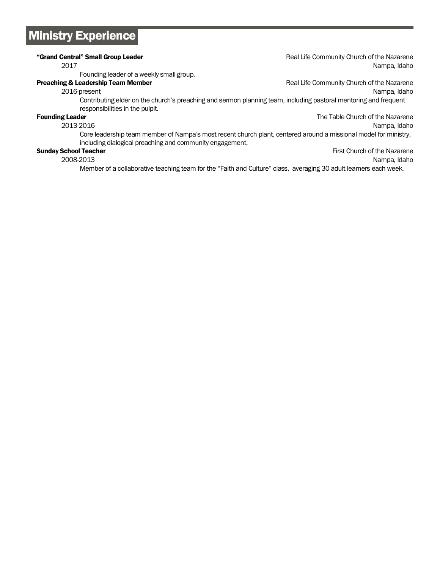# **Ministry Experience**

## "Grand Central" Small Group Leader **Real Access 2018** Real Life Community Church of the Nazarene 2017 Nampa, Idaho Founding leader of a weekly small group. **Preaching & Leadership Team Member Real Life Community Church of the Nazarene** 2016-present Nampa, Idaho Contributing elder on the church's preaching and sermon planning team, including pastoral mentoring and frequent responsibilities in the pulpit. **Founding Leader** The Table Church of the Nazarene 2013-2016 Nampa, Idaho Core leadership team member of Nampa's most recent church plant, centered around a missional model for ministry, including dialogical preaching and community engagement.

## Sunday School Teacher First Church of the Nazarene First Church of the Nazarene

2008-2013 Nampa, Idaho

Member of a collaborative teaching team for the "Faith and Culture" class, averaging 30 adult learners each week.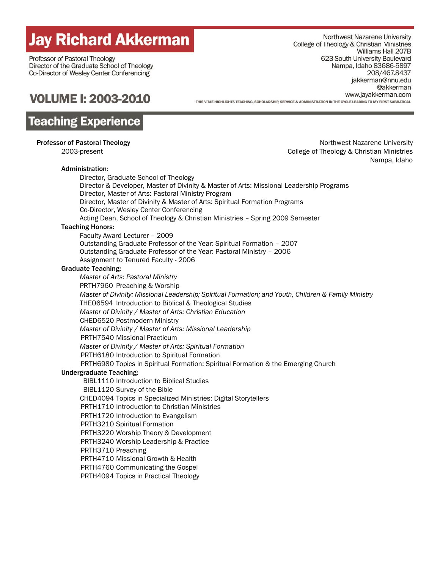# **Jay Richard Akkerman**

Professor of Pastoral Theology Director of the Graduate School of Theology Co-Director of Wesley Center Conferencing

Northwest Nazarene University College of Theology & Christian Ministries Williams Hall 207B 623 South University Boulevard Nampa, Idaho 83686-5897 208/467.8437 jakkerman@nnu.edu @akkerman www.jayakkerman.com THIS VITAF HIGHI IGHTS TFACHING, SCHOLARSHIP, SFRVICE & ADMINISTRATION IN THE CYCLE I FADING TO MY FIRST SARRATICAL

# **VOLUME I: 2003-2010**

# **Teaching Experience**

## Administration:

**Professor of Pastoral Theology** Northwest Nazarene University 2003-present College of Theology & Christian Ministries Nampa, Idaho

> Director, Graduate School of Theology Director & Developer, Master of Divinity & Master of Arts: Missional Leadership Programs Director, Master of Arts: Pastoral Ministry Program Director, Master of Divinity & Master of Arts: Spiritual Formation Programs Co-Director, Wesley Center Conferencing Acting Dean, School of Theology & Christian Ministries – Spring 2009 Semester

## Teaching Honors:

Faculty Award Lecturer – 2009 Outstanding Graduate Professor of the Year: Spiritual Formation – 2007 Outstanding Graduate Professor of the Year: Pastoral Ministry – 2006 Assignment to Tenured Faculty - 2006

## Graduate Teaching:

 *Master of Arts: Pastoral Ministry* PRTH7960 Preaching & Worship  *Master of Divinity: Missional Leadership; Spiritual Formation; and Youth, Children & Family Ministry* THEO6594 Introduction to Biblical & Theological Studies  *Master of Divinity / Master of Arts: Christian Education* CHED6520 Postmodern Ministry *Master of Divinity / Master of Arts: Missional Leadership* PRTH7540 Missional Practicum *Master of Divinity / Master of Arts: Spiritual Formation* PRTH6180 Introduction to Spiritual Formation PRTH6980 Topics in Spiritual Formation: Spiritual Formation & the Emerging Church Undergraduate Teaching: BIBL1110 Introduction to Biblical Studies

BIBL1120 Survey of the Bible

CHED4094 Topics in Specialized Ministries: Digital Storytellers

PRTH1710 Introduction to Christian Ministries

PRTH1720 Introduction to Evangelism

PRTH3210 Spiritual Formation

PRTH3220 Worship Theory & Development

PRTH3240 Worship Leadership & Practice

PRTH3710 Preaching

PRTH4710 Missional Growth & Health

PRTH4760 Communicating the Gospel

PRTH4094 Topics in Practical Theology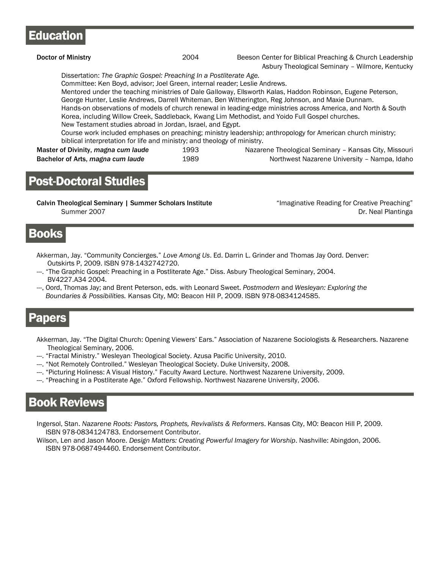# **Education**

| Doctor of Ministry                                                                                                                                                                                                                                                                                                                                                     | 2004         | Beeson Center for Biblical Preaching & Church Leadership<br>Asbury Theological Seminary - Wilmore, Kentucky                                                                                                                                                                                                                                                                                                                                                                                                                                                                                                                                                   |
|------------------------------------------------------------------------------------------------------------------------------------------------------------------------------------------------------------------------------------------------------------------------------------------------------------------------------------------------------------------------|--------------|---------------------------------------------------------------------------------------------------------------------------------------------------------------------------------------------------------------------------------------------------------------------------------------------------------------------------------------------------------------------------------------------------------------------------------------------------------------------------------------------------------------------------------------------------------------------------------------------------------------------------------------------------------------|
| Dissertation: The Graphic Gospel: Preaching In a Postliterate Age.<br>Committee: Ken Boyd, advisor; Joel Green, internal reader; Leslie Andrews.<br>New Testament studies abroad in Jordan, Israel, and Egypt.<br>biblical interpretation for life and ministry; and theology of ministry.<br>Master of Divinity, magna cum laude<br>Bachelor of Arts, magna cum laude | 1993<br>1989 | Mentored under the teaching ministries of Dale Galloway, Ellsworth Kalas, Haddon Robinson, Eugene Peterson,<br>George Hunter, Leslie Andrews, Darrell Whiteman, Ben Witherington, Reg Johnson, and Maxie Dunnam.<br>Hands-on observations of models of church renewal in leading-edge ministries across America, and North & South<br>Korea, including Willow Creek, Saddleback, Kwang Lim Methodist, and Yoido Full Gospel churches.<br>Course work included emphases on preaching; ministry leadership; anthropology for American church ministry;<br>Nazarene Theological Seminary - Kansas City, Missouri<br>Northwest Nazarene University - Nampa, Idaho |

# **Post-Doctoral Studies**

Calvin Theological Seminary | Summer Scholars Institute "Imaginative Reading for Creative Preaching" Summer 2007 **Dr. Neal Plantinga** 

## **Books**

- Akkerman, Jay. "Community Concierges." *Love Among Us*. Ed. Darrin L. Grinder and Thomas Jay Oord. Denver: Outskirts P, 2009. ISBN 978-1432742720.
- ---. "The Graphic Gospel: Preaching in a Postliterate Age." Diss. Asbury Theological Seminary, 2004. BV4227.A34 2004.
- ---, Oord, Thomas Jay; and Brent Peterson, eds. with Leonard Sweet. *Postmodern* and *Wesleyan: Exploring the Boundaries & Possibilities.* Kansas City, MO: Beacon Hill P, 2009. ISBN 978-0834124585.

# **Papers**

- Akkerman, Jay. "The Digital Church: Opening Viewers' Ears." Association of Nazarene Sociologists & Researchers. Nazarene Theological Seminary, 2006.
- ---. "Fractal Ministry." Wesleyan Theological Society. Azusa Pacific University, 2010.
- ---. "Not Remotely Controlled." Wesleyan Theological Society. Duke University, 2008.
- ---. "Picturing Holiness: A Visual History." Faculty Award Lecture. Northwest Nazarene University, 2009.
- ---. "Preaching in a Postliterate Age." Oxford Fellowship. Northwest Nazarene University, 2006.

# **Book Reviews**

Ingersol, Stan. *Nazarene Roots: Pastors, Prophets, Revivalists & Reformers*. Kansas City, MO: Beacon Hill P, 2009. ISBN 978-0834124783. Endorsement Contributor.

Wilson, Len and Jason Moore. *Design Matters: Creating Powerful Imagery for Worship*. Nashville: Abingdon, 2006. ISBN 978-0687494460. Endorsement Contributor.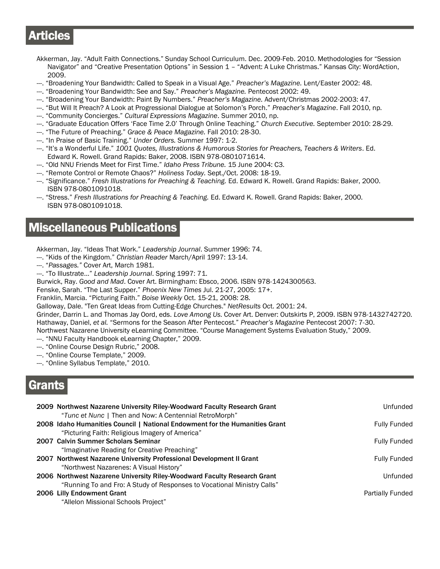# **Articles**

- Akkerman, Jay. "Adult Faith Connections." Sunday School Curriculum. Dec. 2009-Feb. 2010. Methodologies for "Session Navigator" and "Creative Presentation Options" in Session 1 – "Advent: A Luke Christmas." Kansas City: WordAction, 2009.
- ---. "Broadening Your Bandwidth: Called to Speak in a Visual Age." *Preacher's Magazine.* Lent/Easter 2002: 48.
- ---. "Broadening Your Bandwidth: See and Say." *Preacher's Magazine.* Pentecost 2002: 49.
- ---. "Broadening Your Bandwidth: Paint By Numbers." *Preacher's Magazine.* Advent/Christmas 2002-2003: 47.
- ---. "But Will It Preach? A Look at Progressional Dialogue at Solomon's Porch." *Preacher's Magazine*. Fall 2010, np.
- ---. "Community Concierges." *Cultural Expressions Magazine*. Summer 2010, np.
- ---. "Graduate Education Offers 'Face Time 2.0' Through Online Teaching." *Church Executive.* September 2010: 28-29.
- ---. "The Future of Preaching." *Grace & Peace Magazine.* Fall 2010: 28-30.
- ---. "In Praise of Basic Training." *Under Orders.* Summer 1997: 1-2.
- ---. "It's a Wonderful Life." *1001 Quotes, Illustrations & Humorous Stories for Preachers, Teachers & Writers*. Ed. Edward K. Rowell. Grand Rapids: Baker, 2008. ISBN 978-0801071614.
- ---. "Old NNU Friends Meet for First Time." *Idaho Press Tribune.* 15 June 2004: C3.
- ---. "Remote Control or Remote Chaos?" *Holiness Today.* Sept./Oct. 2008: 18-19.
- ---. "Significance." *Fresh Illustrations for Preaching & Teaching.* Ed. Edward K. Rowell. Grand Rapids: Baker, 2000. ISBN 978-0801091018.
- ---. "Stress." *Fresh Illustrations for Preaching & Teaching.* Ed. Edward K. Rowell. Grand Rapids: Baker, 2000. ISBN 978-0801091018.

# **Miscellaneous Publications**

Akkerman, Jay. "Ideas That Work." *Leadership Journal*. Summer 1996: 74.

- ---. "Kids of the Kingdom." *Christian Reader* March/April 1997: 13-14.
- ---. "*Passages."* Cover Art, March 1981.
- ---. "To Illustrate…" *Leadership Journal*. Spring 1997: 71.

Burwick, Ray. *Good and Mad*. Cover Art. Birmingham: Ebsco, 2006. ISBN 978-1424300563.

Fenske, Sarah. "The Last Supper." *Phoenix New Times* Jul. 21-27, 2005: 17+.

Franklin, Marcia. "Picturing Faith." *Boise Weekly* Oct. 15-21, 2008: 28.

Galloway, Dale. "Ten Great Ideas from Cutting-Edge Churches." *NetResults* Oct. 2001: 24.

Grinder, Darrin L. and Thomas Jay Oord, eds. *Love Among Us*. Cover Art. Denver: Outskirts P, 2009. ISBN 978-1432742720. Hathaway, Daniel, *et al.* "Sermons for the Season After Pentecost." *Preacher's Magazine* Pentecost 2007: 7-30.

- Northwest Nazarene University eLearning Committee. "Course Management Systems Evaluation Study," 2009.
- ---. "NNU Faculty Handbook eLearning Chapter," 2009.
- ---. "Online Course Design Rubric," 2008.
- ---. "Online Course Template," 2009.
- ---. "Online Syllabus Template," 2010.

# crants

| 2009 Northwest Nazarene University Riley-Woodward Faculty Research Grant<br>"Tunc et Nunc   Then and Now: A Centennial RetroMorph" | Unfunded            |
|------------------------------------------------------------------------------------------------------------------------------------|---------------------|
| 2008 Idaho Humanities Council   National Endowment for the Humanities Grant                                                        | <b>Fully Funded</b> |
| "Picturing Faith: Religious Imagery of America"                                                                                    |                     |
| 2007 Calvin Summer Scholars Seminar                                                                                                | <b>Fully Funded</b> |
| "Imaginative Reading for Creative Preaching"                                                                                       |                     |
| 2007 Northwest Nazarene University Professional Development II Grant                                                               | <b>Fully Funded</b> |
| "Northwest Nazarenes: A Visual History"                                                                                            |                     |
| 2006 Northwest Nazarene University Riley-Woodward Faculty Research Grant                                                           | Unfunded            |
| "Running To and Fro: A Study of Responses to Vocational Ministry Calls"                                                            |                     |
| 2006 Lilly Endowment Grant                                                                                                         | Partially Funded    |
| "Allelon Missional Schools Project"                                                                                                |                     |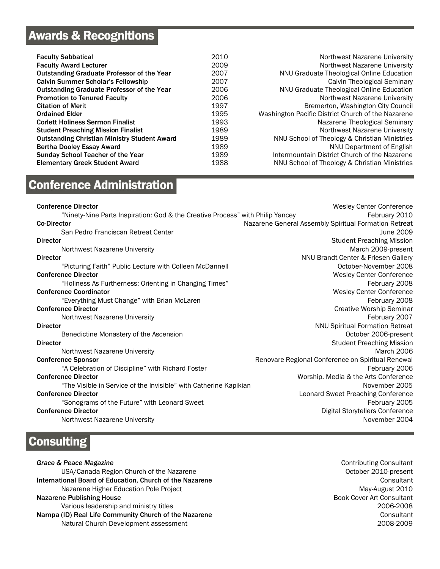# **Awards & Recognitions**

| <b>Faculty Sabbatical</b>                           | 2010 | Northwest Nazarene University                      |
|-----------------------------------------------------|------|----------------------------------------------------|
| <b>Faculty Award Lecturer</b>                       | 2009 | Northwest Nazarene University                      |
| <b>Outstanding Graduate Professor of the Year</b>   | 2007 | NNU Graduate Theological Online Education          |
| <b>Calvin Summer Scholar's Fellowship</b>           | 2007 | Calvin Theological Seminary                        |
| <b>Outstanding Graduate Professor of the Year</b>   | 2006 | NNU Graduate Theological Online Education          |
| <b>Promotion to Tenured Faculty</b>                 | 2006 | Northwest Nazarene University                      |
| <b>Citation of Merit</b>                            | 1997 | Bremerton, Washington City Council                 |
| <b>Ordained Elder</b>                               | 1995 | Washington Pacific District Church of the Nazarene |
| <b>Corlett Holiness Sermon Finalist</b>             | 1993 | Nazarene Theological Seminary                      |
| <b>Student Preaching Mission Finalist</b>           | 1989 | Northwest Nazarene University                      |
| <b>Outstanding Christian Ministry Student Award</b> | 1989 | NNU School of Theology & Christian Ministries      |
| <b>Bertha Dooley Essay Award</b>                    | 1989 | NNU Department of English                          |
| <b>Sunday School Teacher of the Year</b>            | 1989 | Intermountain District Church of the Nazarene      |
| <b>Elementary Greek Student Award</b>               | 1988 | NNU School of Theology & Christian Ministries      |

# **Conference Administration**

| <b>Conference Director</b>                                                     | <b>Wesley Center Conference</b>                       |
|--------------------------------------------------------------------------------|-------------------------------------------------------|
| "Ninety-Nine Parts Inspiration: God & the Creative Process" with Philip Yancey | February 2010                                         |
| <b>Co-Director</b>                                                             | Nazarene General Assembly Spiritual Formation Retreat |
| San Pedro Franciscan Retreat Center                                            | June 2009                                             |
| <b>Director</b>                                                                | <b>Student Preaching Mission</b>                      |
| Northwest Nazarene University                                                  | March 2009-present                                    |
| <b>Director</b>                                                                | NNU Brandt Center & Friesen Gallery                   |
| "Picturing Faith" Public Lecture with Colleen McDannell                        | October-November 2008                                 |
| <b>Conference Director</b>                                                     | Wesley Center Conference                              |
| "Holiness As Furtherness: Orienting in Changing Times"                         | February 2008                                         |
| <b>Conference Coordinator</b>                                                  | <b>Wesley Center Conference</b>                       |
| "Everything Must Change" with Brian McLaren                                    | February 2008                                         |
| <b>Conference Director</b>                                                     | <b>Creative Worship Seminar</b>                       |
| Northwest Nazarene University                                                  | February 2007                                         |
| <b>Director</b>                                                                | <b>NNU Spiritual Formation Retreat</b>                |
| Benedictine Monastery of the Ascension                                         | October 2006-present                                  |
| <b>Director</b>                                                                | <b>Student Preaching Mission</b>                      |
| Northwest Nazarene University                                                  | March 2006                                            |
| <b>Conference Sponsor</b>                                                      | Renovare Regional Conference on Spiritual Renewal     |
| "A Celebration of Discipline" with Richard Foster                              | February 2006                                         |
| <b>Conference Director</b>                                                     | Worship, Media & the Arts Conference                  |
| "The Visible in Service of the Invisible" with Catherine Kapikian              | November 2005                                         |
| <b>Conference Director</b>                                                     | Leonard Sweet Preaching Conference                    |
| "Sonograms of the Future" with Leonard Sweet                                   | February 2005                                         |
| <b>Conference Director</b>                                                     | Digital Storytellers Conference                       |
| Northwest Nazarene University                                                  | November 2004                                         |
|                                                                                |                                                       |

# **Consulting**

**Grace & Peace Magazine** Contributing Consultant USA/Canada Region Church of the Nazarene **Department Construction Church 2010-present** International Board of Education, Church of the Nazarene Consultant Consultant Nazarene Higher Education Pole Project May-August 2010 Nazarene Publishing House **Book Cover Art Consultant**  Various leadership and ministry titles 2006-2008 Nampa (ID) Real Life Community Church of the Nazarene Consultant Consultant Consultant Natural Church Development assessment 2008-2009 2008-2009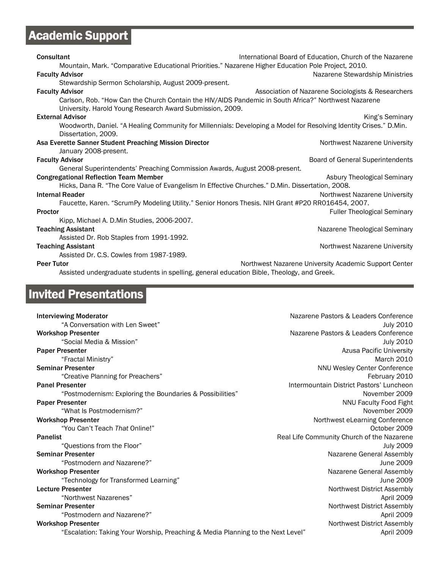# Academic Support

| <b>Consultant</b>                                                                                                  | International Board of Education, Church of the Nazarene |
|--------------------------------------------------------------------------------------------------------------------|----------------------------------------------------------|
| Mountain, Mark. "Comparative Educational Priorities." Nazarene Higher Education Pole Project, 2010.                |                                                          |
| <b>Faculty Advisor</b>                                                                                             | Nazarene Stewardship Ministries                          |
| Stewardship Sermon Scholarship, August 2009-present.                                                               |                                                          |
| <b>Faculty Advisor</b>                                                                                             | Association of Nazarene Sociologists & Researchers       |
| Carlson, Rob. "How Can the Church Contain the HIV/AIDS Pandemic in South Africa?" Northwest Nazarene               |                                                          |
| University. Harold Young Research Award Submission, 2009.                                                          |                                                          |
| <b>External Advisor</b>                                                                                            | King's Seminary                                          |
| Woodworth, Daniel. "A Healing Community for Millennials: Developing a Model for Resolving Identity Crises." D.Min. |                                                          |
| Dissertation, 2009.                                                                                                |                                                          |
| Asa Everette Sanner Student Preaching Mission Director                                                             | Northwest Nazarene University                            |
| January 2008-present.                                                                                              |                                                          |
| <b>Faculty Advisor</b>                                                                                             | Board of General Superintendents                         |
| General Superintendents' Preaching Commission Awards, August 2008-present.                                         |                                                          |
| <b>Congregational Reflection Team Member</b>                                                                       | Asbury Theological Seminary                              |
| Hicks, Dana R. "The Core Value of Evangelism In Effective Churches." D.Min. Dissertation, 2008.                    |                                                          |
| <b>Internal Reader</b>                                                                                             | Northwest Nazarene University                            |
| Faucette, Karen. "ScrumPy Modeling Utility." Senior Honors Thesis. NIH Grant #P20 RR016454, 2007.                  |                                                          |
| <b>Proctor</b>                                                                                                     | <b>Fuller Theological Seminary</b>                       |
|                                                                                                                    |                                                          |
| Kipp, Michael A. D.Min Studies, 2006-2007.                                                                         |                                                          |
| <b>Teaching Assistant</b>                                                                                          | Nazarene Theological Seminary                            |
| Assisted Dr. Rob Staples from 1991-1992.                                                                           |                                                          |
| <b>Teaching Assistant</b>                                                                                          | Northwest Nazarene University                            |
| Assisted Dr. C.S. Cowles from 1987-1989.                                                                           |                                                          |
| <b>Peer Tutor</b>                                                                                                  | Northwest Nazarene University Academic Support Center    |
| Assisted undergraduate students in spelling, general education Bible, Theology, and Greek.                         |                                                          |

# Invited Presentations

| <b>Interviewing Moderator</b>                                                   | Nazarene Pastors & Leaders Conference      |
|---------------------------------------------------------------------------------|--------------------------------------------|
| "A Conversation with Len Sweet"                                                 | <b>July 2010</b>                           |
| <b>Workshop Presenter</b>                                                       | Nazarene Pastors & Leaders Conference      |
| "Social Media & Mission"                                                        | <b>July 2010</b>                           |
| <b>Paper Presenter</b>                                                          | <b>Azusa Pacific University</b>            |
| "Fractal Ministry"                                                              | <b>March 2010</b>                          |
| <b>Seminar Presenter</b>                                                        | NNU Wesley Center Conference               |
| "Creative Planning for Preachers"                                               | February 2010                              |
| <b>Panel Presenter</b>                                                          | Intermountain District Pastors' Luncheon   |
| "Postmodernism: Exploring the Boundaries & Possibilities"                       | November 2009                              |
| <b>Paper Presenter</b>                                                          | <b>NNU Faculty Food Fight</b>              |
| "What Is Postmodernism?"                                                        | November 2009                              |
| <b>Workshop Presenter</b>                                                       | Northwest eLearning Conference             |
| "You Can't Teach That Online!"                                                  | October 2009                               |
| <b>Panelist</b>                                                                 | Real Life Community Church of the Nazarene |
| "Questions from the Floor"                                                      | <b>July 2009</b>                           |
| <b>Seminar Presenter</b>                                                        | Nazarene General Assembly                  |
| "Postmodern and Nazarene?"                                                      | June 2009                                  |
| <b>Workshop Presenter</b>                                                       | Nazarene General Assembly                  |
| "Technology for Transformed Learning"                                           | June 2009                                  |
| <b>Lecture Presenter</b>                                                        | Northwest District Assembly                |
| "Northwest Nazarenes"                                                           | April 2009                                 |
| <b>Seminar Presenter</b>                                                        | Northwest District Assembly                |
| "Postmodern and Nazarene?"                                                      | April 2009                                 |
| <b>Workshop Presenter</b>                                                       | Northwest District Assembly                |
| "Escalation: Taking Your Worship, Preaching & Media Planning to the Next Level" | April 2009                                 |
|                                                                                 |                                            |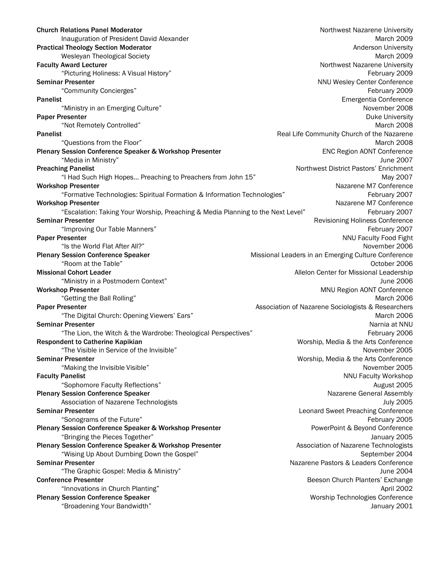| <b>Church Relations Panel Moderator</b>                                         | Northwest Nazarene University                       |
|---------------------------------------------------------------------------------|-----------------------------------------------------|
| Inauguration of President David Alexander                                       | March 2009                                          |
| <b>Practical Theology Section Moderator</b>                                     | Anderson University                                 |
| Wesleyan Theological Society                                                    | March 2009                                          |
| <b>Faculty Award Lecturer</b>                                                   | Northwest Nazarene University                       |
| "Picturing Holiness: A Visual History"                                          | February 2009                                       |
| <b>Seminar Presenter</b>                                                        | NNU Wesley Center Conference                        |
| "Community Concierges"                                                          | February 2009                                       |
| <b>Panelist</b>                                                                 | Emergentia Conference                               |
| "Ministry in an Emerging Culture"                                               | November 2008                                       |
| <b>Paper Presenter</b>                                                          | <b>Duke University</b>                              |
| "Not Remotely Controlled"                                                       | March 2008                                          |
| <b>Panelist</b>                                                                 | Real Life Community Church of the Nazarene          |
| "Questions from the Floor"                                                      | March 2008                                          |
| Plenary Session Conference Speaker & Workshop Presenter                         | <b>ENC Region AONT Conference</b>                   |
| "Media in Ministry"                                                             | June 2007                                           |
| <b>Preaching Panelist</b>                                                       | Northwest District Pastors' Enrichment              |
| "I Had Such High Hopes Preaching to Preachers from John 15"                     | May 2007                                            |
| <b>Workshop Presenter</b>                                                       | Nazarene M7 Conference                              |
| "Formative Technologies: Spiritual Formation & Information Technologies"        | February 2007                                       |
| <b>Workshop Presenter</b>                                                       | Nazarene M7 Conference                              |
| "Escalation: Taking Your Worship, Preaching & Media Planning to the Next Level" | February 2007                                       |
| <b>Seminar Presenter</b>                                                        | Revisioning Holiness Conference                     |
| "Improving Our Table Manners"                                                   | February 2007                                       |
| <b>Paper Presenter</b>                                                          | NNU Faculty Food Fight                              |
| "Is the World Flat After All?"                                                  | November 2006                                       |
| <b>Plenary Session Conference Speaker</b>                                       | Missional Leaders in an Emerging Culture Conference |
| "Room at the Table"                                                             | October 2006                                        |
| <b>Missional Cohort Leader</b>                                                  | Allelon Center for Missional Leadership             |
| "Ministry in a Postmodern Context"                                              | June 2006                                           |
| <b>Workshop Presenter</b>                                                       | MNU Region AONT Conference                          |
| "Getting the Ball Rolling"                                                      | March 2006                                          |
| <b>Paper Presenter</b>                                                          | Association of Nazarene Sociologists & Researchers  |
| "The Digital Church: Opening Viewers' Ears"                                     | March 2006                                          |
| <b>Seminar Presenter</b>                                                        | Narnia at NNU                                       |
| "The Lion, the Witch & the Wardrobe: Theological Perspectives"                  | February 2006                                       |
| <b>Respondent to Catherine Kapikian</b>                                         | Worship, Media & the Arts Conference                |
| "The Visible in Service of the Invisible"                                       | November 2005                                       |
| <b>Seminar Presenter</b>                                                        | Worship, Media & the Arts Conference                |
| "Making the Invisible Visible"                                                  | November 2005                                       |
| <b>Faculty Panelist</b>                                                         | NNU Faculty Workshop                                |
| "Sophomore Faculty Reflections"                                                 | August 2005                                         |
| <b>Plenary Session Conference Speaker</b>                                       | Nazarene General Assembly                           |
| Association of Nazarene Technologists                                           | <b>July 2005</b>                                    |
| <b>Seminar Presenter</b>                                                        | Leonard Sweet Preaching Conference                  |
| "Sonograms of the Future"                                                       | February 2005                                       |
|                                                                                 |                                                     |
| Plenary Session Conference Speaker & Workshop Presenter                         | PowerPoint & Beyond Conference                      |
| "Bringing the Pieces Together"                                                  | January 2005                                        |
| Plenary Session Conference Speaker & Workshop Presenter                         | Association of Nazarene Technologists               |
| "Wising Up About Dumbing Down the Gospel"                                       | September 2004                                      |
| <b>Seminar Presenter</b>                                                        | Nazarene Pastors & Leaders Conference               |
| "The Graphic Gospel: Media & Ministry"                                          | June 2004                                           |
| <b>Conference Presenter</b>                                                     | Beeson Church Planters' Exchange                    |
| "Innovations in Church Planting"                                                | April 2002                                          |
| <b>Plenary Session Conference Speaker</b>                                       | Worship Technologies Conference                     |
| "Broadening Your Bandwidth"                                                     | January 2001                                        |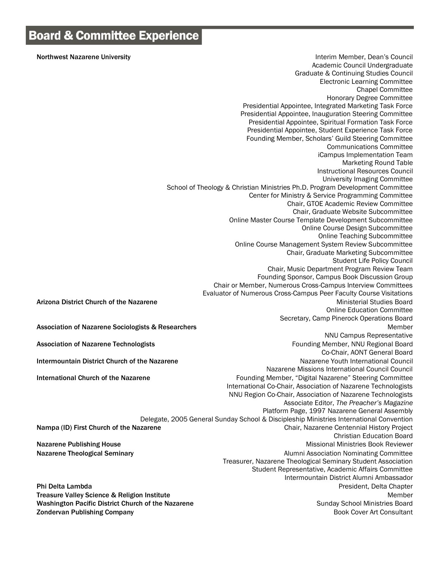Northwest Nazarene University **Interior Council** Interim Member, Dean's Council Academic Council Undergraduate Graduate & Continuing Studies Council Electronic Learning Committee Chapel Committee Honorary Degree Committee Presidential Appointee, Integrated Marketing Task Force Presidential Appointee, Inauguration Steering Committee Presidential Appointee, Spiritual Formation Task Force Presidential Appointee, Student Experience Task Force Founding Member, Scholars' Guild Steering Committee Communications Committee iCampus Implementation Team Marketing Round Table Instructional Resources Council University Imaging Committee School of Theology & Christian Ministries Ph.D. Program Development Committee Center for Ministry & Service Programming Committee Chair, GTOE Academic Review Committee Chair, Graduate Website Subcommittee Online Master Course Template Development Subcommittee Online Course Design Subcommittee Online Teaching Subcommittee Online Course Management System Review Subcommittee Chair, Graduate Marketing Subcommittee Student Life Policy Council Chair, Music Department Program Review Team Founding Sponsor, Campus Book Discussion Group Chair or Member, Numerous Cross-Campus Interview Committees Evaluator of Numerous Cross-Campus Peer Faculty Course Visitations Arizona District Church of the Nazarene Ministerial Studies Board Online Education Committee Secretary, Camp Pinerock Operations Board Association of Nazarene Sociologists & Researchers Member Member Member Member Member Member NNU Campus Representative Association of Nazarene Technologists **Founding Member, NNU Regional Board Founding Member, NNU Regional Board** Co-Chair, AONT General Board Intermountain District Church of the Nazarene Nazarene Nazarene Youth International Council Nazarene Missions International Council Council International Church of the Nazarene **Founding Member, "Digital Nazarene"** Steering Committee International Co-Chair, Association of Nazarene Technologists NNU Region Co-Chair, Association of Nazarene Technologists Associate Editor, *The Preacher's Magazine* Platform Page, 1997 Nazarene General Assembly Delegate, 2005 General Sunday School & Discipleship Ministries International Convention Nampa (ID) First Church of the Nazarene Chair, Nazarene Centennial History Project Christian Education Board Nazarene Publishing House Missional Ministries Book Reviewer Nazarene Theological Seminary **Alumni Association Nominating Committee Nazarene Theological Seminary** Treasurer, Nazarene Theological Seminary Student Association Student Representative, Academic Affairs Committee Intermountain District Alumni Ambassador Phi Delta Lambda President, Delta Chapter Treasure Valley Science & Religion Institute Member New York 2012 12:30 New York 2012 12:30 New York 2013 Washington Pacific District Church of the Nazarene Sunday School Ministries Board **Zondervan Publishing Company Book Cover Art Consultant Consultant Consultant Consultant Consultant**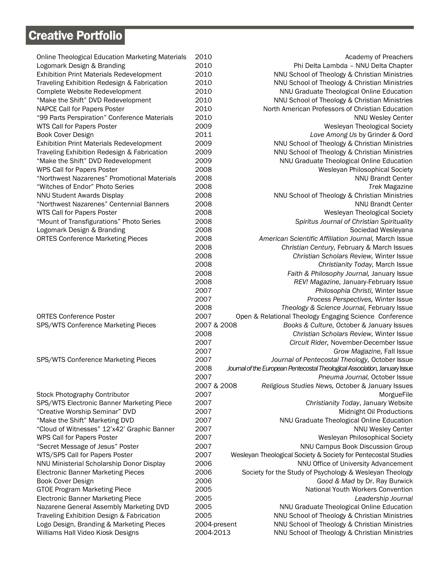# **Creative Portfolio**

| <b>Online Theological Education Marketing Materials</b>                   | 2010         | Academy of Preachers                                                       |
|---------------------------------------------------------------------------|--------------|----------------------------------------------------------------------------|
| Logomark Design & Branding                                                | 2010         | Phi Delta Lambda - NNU Delta Chapter                                       |
| <b>Exhibition Print Materials Redevelopment</b>                           | 2010         | NNU School of Theology & Christian Ministries                              |
| Traveling Exhibition Redesign & Fabrication                               | 2010         | NNU School of Theology & Christian Ministries                              |
| Complete Website Redevelopment                                            | 2010         | NNU Graduate Theological Online Education                                  |
| "Make the Shift" DVD Redevelopment                                        | 2010         | NNU School of Theology & Christian Ministries                              |
| NAPCE Call for Papers Poster                                              | 2010         | North American Professors of Christian Education                           |
| "99 Parts Perspiration" Conference Materials                              | 2010         | <b>NNU Wesley Center</b>                                                   |
| WTS Call for Papers Poster                                                | 2009         | Wesleyan Theological Society                                               |
| Book Cover Design                                                         | 2011         | Love Among Us by Grinder & Oord                                            |
| <b>Exhibition Print Materials Redevelopment</b>                           | 2009         | NNU School of Theology & Christian Ministries                              |
| Traveling Exhibition Redesign & Fabrication                               | 2009         | NNU School of Theology & Christian Ministries                              |
| "Make the Shift" DVD Redevelopment                                        | 2009         | NNU Graduate Theological Online Education                                  |
| WPS Call for Papers Poster                                                | 2008         | Wesleyan Philosophical Society                                             |
| "Northwest Nazarenes" Promotional Materials                               | 2008         | <b>NNU Brandt Center</b>                                                   |
| "Witches of Endor" Photo Series                                           | 2008         | <b>Trek Magazine</b>                                                       |
| NNU Student Awards Display                                                | 2008         | NNU School of Theology & Christian Ministries                              |
| "Northwest Nazarenes" Centennial Banners                                  | 2008         | <b>NNU Brandt Center</b>                                                   |
| WTS Call for Papers Poster                                                | 2008         | Wesleyan Theological Society                                               |
| "Mount of Transfigurations" Photo Series                                  | 2008         | Spiritus Journal of Christian Spirituality                                 |
| Logomark Design & Branding                                                | 2008         | Sociedad Wesleyana                                                         |
| <b>ORTES Conference Marketing Pieces</b>                                  | 2008         | American Scientific Affiliation Journal, March Issue                       |
|                                                                           | 2008         | Christian Century, February & March Issues                                 |
|                                                                           | 2008         | Christian Scholars Review, Winter Issue                                    |
|                                                                           | 2008         | Christianity Today, March Issue                                            |
|                                                                           | 2008         | Faith & Philosophy Journal, January Issue                                  |
|                                                                           | 2008         | REV! Magazine, January-February Issue                                      |
|                                                                           | 2007         | Philosophia Christi, Winter Issue                                          |
|                                                                           | 2007         | Process Perspectives, Winter Issue                                         |
|                                                                           | 2008         | Theology & Science Journal, February Issue                                 |
| <b>ORTES Conference Poster</b>                                            | 2007         | Open & Relational Theology Engaging Science Conference                     |
| SPS/WTS Conference Marketing Pieces                                       | 2007 & 2008  | Books & Culture, October & January Issues                                  |
|                                                                           | 2008         | Christian Scholars Review, Winter Issue                                    |
|                                                                           | 2007         | Circuit Rider, November-December Issue                                     |
|                                                                           | 2007         | Grow Magazine, Fall Issue                                                  |
| SPS/WTS Conference Marketing Pieces                                       | 2007         | Journal of Pentecostal Theology, October Issue                             |
|                                                                           | 2008         | Journal of the European Pentecostal Theological Association, January Issue |
|                                                                           | 2007         | Pneuma Journal, October Issue                                              |
|                                                                           | 2007 & 2008  | Religious Studies News, October & January Issues                           |
| Stock Photography Contributor                                             | 2007         | MorgueFile                                                                 |
| SPS/WTS Electronic Banner Marketing Piece                                 | 2007         | Christianity Today, January Website                                        |
| "Creative Worship Seminar" DVD                                            | 2007         | Midnight Oil Productions                                                   |
|                                                                           | 2007         |                                                                            |
| "Make the Shift" Marketing DVD                                            | 2007         | NNU Graduate Theological Online Education                                  |
| "Cloud of Witnesses" 12'x42' Graphic Banner<br>WPS Call for Papers Poster | 2007         | <b>NNU Wesley Center</b>                                                   |
|                                                                           |              | Wesleyan Philosophical Society                                             |
| "Secret Message of Jesus" Poster                                          | 2007         | NNU Campus Book Discussion Group                                           |
| WTS/SPS Call for Papers Poster                                            | 2007         | Wesleyan Theological Society & Society for Pentecostal Studies             |
| NNU Ministerial Scholarship Donor Display                                 | 2006         | NNU Office of University Advancement                                       |
| <b>Electronic Banner Marketing Pieces</b>                                 | 2006         | Society for the Study of Psychology & Wesleyan Theology                    |
| Book Cover Design                                                         | 2006         | Good & Mad by Dr. Ray Burwick                                              |
| <b>GTOE Program Marketing Piece</b>                                       | 2005         | National Youth Workers Convention                                          |
| <b>Electronic Banner Marketing Piece</b>                                  | 2005         | Leadership Journal                                                         |
| Nazarene General Assembly Marketing DVD                                   | 2005         | NNU Graduate Theological Online Education                                  |
| Traveling Exhibition Design & Fabrication                                 | 2005         | NNU School of Theology & Christian Ministries                              |
| Logo Design, Branding & Marketing Pieces                                  | 2004-present | NNU School of Theology & Christian Ministries                              |
| Williams Hall Video Kiosk Designs                                         | 2004-2013    | NNU School of Theology & Christian Ministries                              |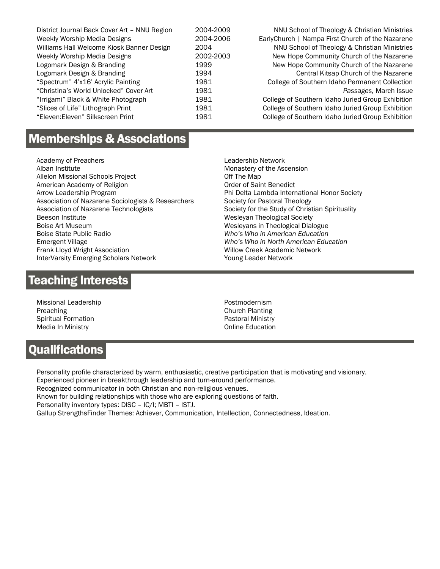| District Journal Back Cover Art - NNU Region | 2004-2009 | NNU School of Theology & Christian Ministries     |
|----------------------------------------------|-----------|---------------------------------------------------|
| Weekly Worship Media Designs                 | 2004-2006 | EarlyChurch   Nampa First Church of the Nazarene  |
| Williams Hall Welcome Kiosk Banner Design    | 2004      | NNU School of Theology & Christian Ministries     |
| Weekly Worship Media Designs                 | 2002-2003 | New Hope Community Church of the Nazarene         |
| Logomark Design & Branding                   | 1999      | New Hope Community Church of the Nazarene         |
| Logomark Design & Branding                   | 1994      | Central Kitsap Church of the Nazarene             |
| "Spectrum" 4'x16' Acrylic Painting           | 1981      | College of Southern Idaho Permanent Collection    |
| "Christina's World Unlocked" Cover Art       | 1981      | Passages, March Issue                             |
| "Irrigami" Black & White Photograph          | 1981      | College of Southern Idaho Juried Group Exhibition |
| "Slices of Life" Lithograph Print            | 1981      | College of Southern Idaho Juried Group Exhibition |
| "Eleven: Eleven" Silkscreen Print            | 1981      | College of Southern Idaho Juried Group Exhibition |
|                                              |           |                                                   |

## **Memberships & Associations**

Academy of Preachers Alban Institute Allelon Missional Schools Project American Academy of Religion Arrow Leadership Program Association of Nazarene Sociologists & Researchers Association of Nazarene Technologists Beeson Institute Boise Art Museum Boise State Public Radio Emergent Village Frank Lloyd Wright Association InterVarsity Emerging Scholars Network

Leadership Network Monastery of the Ascension Off The Map Order of Saint Benedict Phi Delta Lambda International Honor Society Society for Pastoral Theology Society for the Study of Christian Spirituality Wesleyan Theological Society Wesleyans in Theological Dialogue *Who's Who in American Education Who's Who in North American Education* Willow Creek Academic Network Young Leader Network

## **Teaching Interests**

Missional Leadership Preaching Spiritual Formation Media In Ministry

Postmodernism Church Planting Pastoral Ministry Online Education

## **Qualifications**

Personality profile characterized by warm, enthusiastic, creative participation that is motivating and visionary. Experienced pioneer in breakthrough leadership and turn-around performance.

Recognized communicator in both Christian and non-religious venues.

Known for building relationships with those who are exploring questions of faith.

Personality inventory types: DISC – IC/I; MBTI – ISTJ.

Gallup StrengthsFinder Themes: Achiever, Communication, Intellection, Connectedness, Ideation.